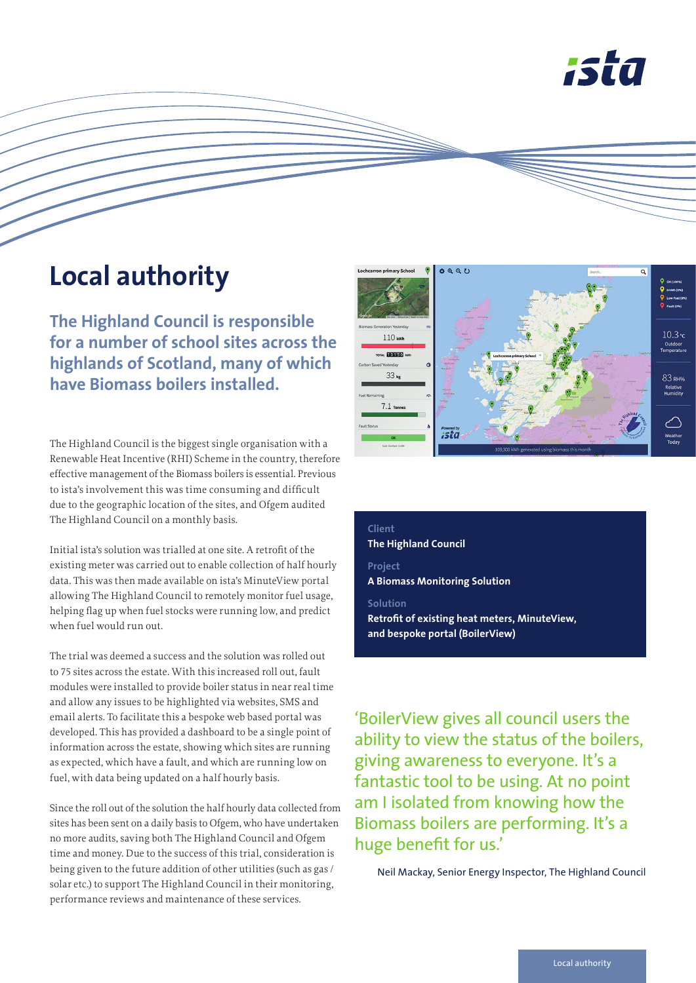

## **Local authority**

**The Highland Council is responsible for a number of school sites across the highlands of Scotland, many of which have Biomass boilers installed.** 

The Highland Council is the biggest single organisation with a Renewable Heat Incentive (RHI) Scheme in the country, therefore effective management of the Biomass boilers is essential. Previous to ista's involvement this was time consuming and difficult due to the geographic location of the sites, and Ofgem audited The Highland Council on a monthly basis.

Initial ista's solution was trialled at one site. A retrofit of the existing meter was carried out to enable collection of half hourly data. This was then made available on ista's MinuteView portal allowing The Highland Council to remotely monitor fuel usage, helping flag up when fuel stocks were running low, and predict when fuel would run out.

The trial was deemed a success and the solution was rolled out to 75 sites across the estate. With this increased roll out, fault modules were installed to provide boiler status in near real time and allow any issues to be highlighted via websites, SMS and email alerts. To facilitate this a bespoke web based portal was developed. This has provided a dashboard to be a single point of information across the estate, showing which sites are running as expected, which have a fault, and which are running low on fuel, with data being updated on a half hourly basis.

Since the roll out of the solution the half hourly data collected from sites has been sent on a daily basis to Ofgem, who have undertaken no more audits, saving both The Highland Council and Ofgem time and money. Due to the success of this trial, consideration is being given to the future addition of other utilities (such as gas / solar etc.) to support The Highland Council in their monitoring, performance reviews and maintenance of these services.



### **Client The Highland Council**

**Project A Biomass Monitoring Solution**

#### **Solution**

**Retrofit of existing heat meters, MinuteView, and bespoke portal (BoilerView)**

'BoilerView gives all council users the ability to view the status of the boilers, giving awareness to everyone. It's a fantastic tool to be using. At no point am I isolated from knowing how the Biomass boilers are performing. It's a huge benefit for us.'

Neil Mackay, Senior Energy Inspector, The Highland Council